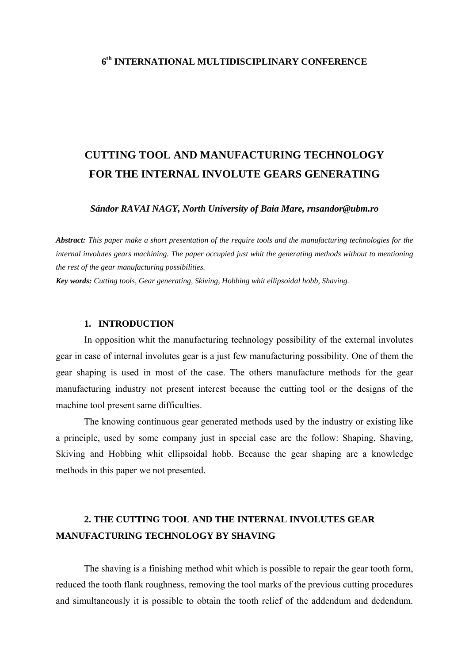### **6th INTERNATIONAL MULTIDISCIPLINARY CONFERENCE**

# **CUTTING TOOL AND MANUFACTURING TECHNOLOGY FOR THE INTERNAL INVOLUTE GEARS GENERATING**

*Sándor RAVAI NAGY, North University of Baia Mare, rnsandor@ubm.ro* 

*Abstract: This paper make a short presentation of the require tools and the manufacturing technologies for the internal involutes gears machining. The paper occupied just whit the generating methods without to mentioning the rest of the gear manufacturing possibilities.* 

*Key words: Cutting tools, Gear generating, Skiving, Hobbing whit ellipsoidal hobb, Shaving.* 

#### **1. INTRODUCTION**

 In opposition whit the manufacturing technology possibility of the external involutes gear in case of internal involutes gear is a just few manufacturing possibility. One of them the gear shaping is used in most of the case. The others manufacture methods for the gear manufacturing industry not present interest because the cutting tool or the designs of the machine tool present same difficulties.

 The knowing continuous gear generated methods used by the industry or existing like a principle, used by some company just in special case are the follow: Shaping, Shaving, Skiving and Hobbing whit ellipsoidal hobb. Because the gear shaping are a knowledge methods in this paper we not presented.

## **2. THE CUTTING TOOL AND THE INTERNAL INVOLUTES GEAR MANUFACTURING TECHNOLOGY BY SHAVING**

 The shaving is a finishing method whit which is possible to repair the gear tooth form, reduced the tooth flank roughness, removing the tool marks of the previous cutting procedures and simultaneously it is possible to obtain the tooth relief of the addendum and dedendum.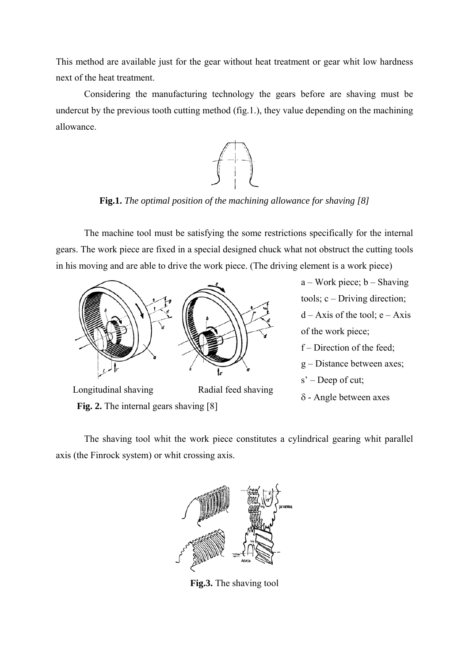This method are available just for the gear without heat treatment or gear whit low hardness next of the heat treatment.

Considering the manufacturing technology the gears before are shaving must be undercut by the previous tooth cutting method (fig.1.), they value depending on the machining allowance.



**Fig.1.** *The optimal position of the machining allowance for shaving [8]*

The machine tool must be satisfying the some restrictions specifically for the internal gears. The work piece are fixed in a special designed chuck what not obstruct the cutting tools in his moving and are able to drive the work piece. (The driving element is a work piece)



**Fig. 2.** The internal gears shaving [8]

 $a$  – Work piece;  $b$  – Shaving tools; c – Driving direction;  $d - Axis$  of the tool;  $e - Axis$ of the work piece; f – Direction of the feed; g – Distance between axes; s' – Deep of cut;

δ - Angle between axes

 The shaving tool whit the work piece constitutes a cylindrical gearing whit parallel axis (the Finrock system) or whit crossing axis.



**Fig.3.** The shaving tool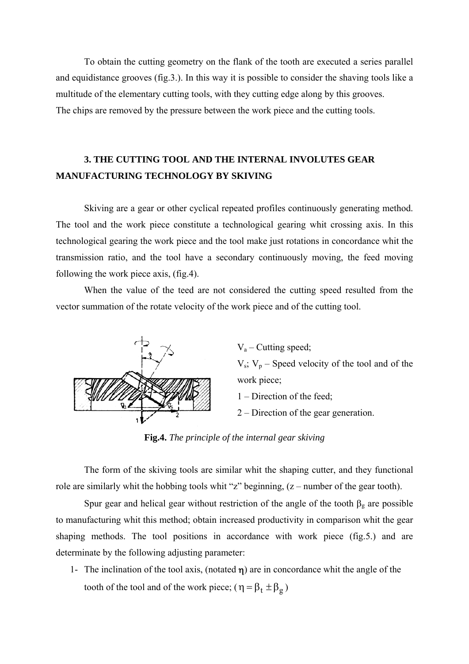To obtain the cutting geometry on the flank of the tooth are executed a series parallel and equidistance grooves (fig.3.). In this way it is possible to consider the shaving tools like a multitude of the elementary cutting tools, with they cutting edge along by this grooves. The chips are removed by the pressure between the work piece and the cutting tools.

### **3. THE CUTTING TOOL AND THE INTERNAL INVOLUTES GEAR MANUFACTURING TECHNOLOGY BY SKIVING**

 Skiving are a gear or other cyclical repeated profiles continuously generating method. The tool and the work piece constitute a technological gearing whit crossing axis. In this technological gearing the work piece and the tool make just rotations in concordance whit the transmission ratio, and the tool have a secondary continuously moving, the feed moving following the work piece axis, (fig.4).

 When the value of the teed are not considered the cutting speed resulted from the vector summation of the rotate velocity of the work piece and of the cutting tool.



 $V_a$  – Cutting speed;

 $V_s$ ;  $V_p$  – Speed velocity of the tool and of the work piece;

1 – Direction of the feed;

2 – Direction of the gear generation.

**Fig.4.** *The principle of the internal gear skiving*

 The form of the skiving tools are similar whit the shaping cutter, and they functional role are similarly whit the hobbing tools whit "z" beginning, (z – number of the gear tooth).

Spur gear and helical gear without restriction of the angle of the tooth  $\beta_g$  are possible to manufacturing whit this method; obtain increased productivity in comparison whit the gear shaping methods. The tool positions in accordance with work piece (fig.5.) and are determinate by the following adjusting parameter:

1- The inclination of the tool axis, (notated  $\eta$ ) are in concordance whit the angle of the tooth of the tool and of the work piece; ( $\eta = \beta_t \pm \beta_g$ )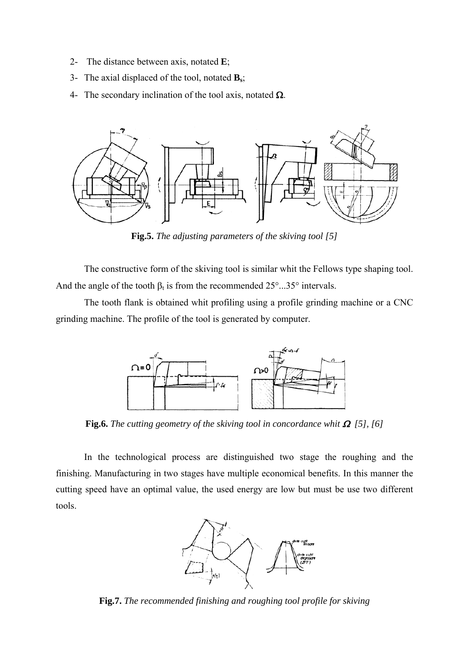- 2- The distance between axis, notated **E**;
- 3- The axial displaced of the tool, notated **Bs**;
- 4- The secondary inclination of the tool axis, notated  $\Omega$ .



**Fig.5.** *The adjusting parameters of the skiving tool [5]*

 The constructive form of the skiving tool is similar whit the Fellows type shaping tool. And the angle of the tooth  $\beta_t$  is from the recommended 25°...35° intervals.

The tooth flank is obtained whit profiling using a profile grinding machine or a CNC grinding machine. The profile of the tool is generated by computer.



**Fig.6.** *The cutting geometry of the skiving tool in concordance whit* Ω *[5], [6]*

 In the technological process are distinguished two stage the roughing and the finishing. Manufacturing in two stages have multiple economical benefits. In this manner the cutting speed have an optimal value, the used energy are low but must be use two different tools.



**Fig.7.** *The recommended finishing and roughing tool profile for skiving*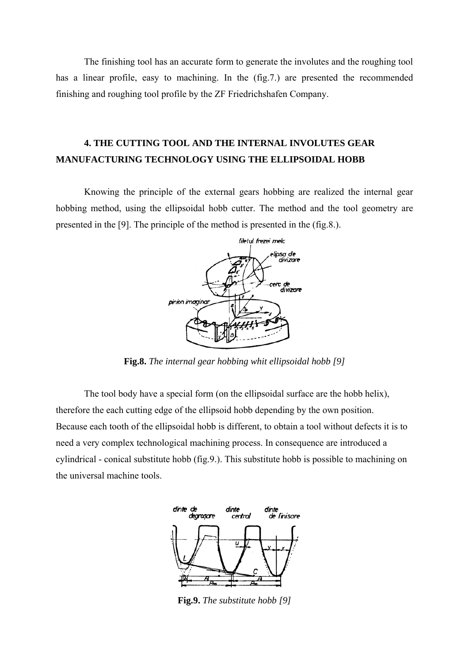The finishing tool has an accurate form to generate the involutes and the roughing tool has a linear profile, easy to machining. In the (fig.7.) are presented the recommended finishing and roughing tool profile by the ZF Friedrichshafen Company.

### **4. THE CUTTING TOOL AND THE INTERNAL INVOLUTES GEAR MANUFACTURING TECHNOLOGY USING THE ELLIPSOIDAL HOBB**

Knowing the principle of the external gears hobbing are realized the internal gear hobbing method, using the ellipsoidal hobb cutter. The method and the tool geometry are presented in the [9]. The principle of the method is presented in the (fig.8.).



**Fig.8.** *The internal gear hobbing whit ellipsoidal hobb [9]*

 The tool body have a special form (on the ellipsoidal surface are the hobb helix), therefore the each cutting edge of the ellipsoid hobb depending by the own position. Because each tooth of the ellipsoidal hobb is different, to obtain a tool without defects it is to need a very complex technological machining process. In consequence are introduced a cylindrical - conical substitute hobb (fig.9.). This substitute hobb is possible to machining on the universal machine tools.



**Fig.9.** *The substitute hobb [9]*